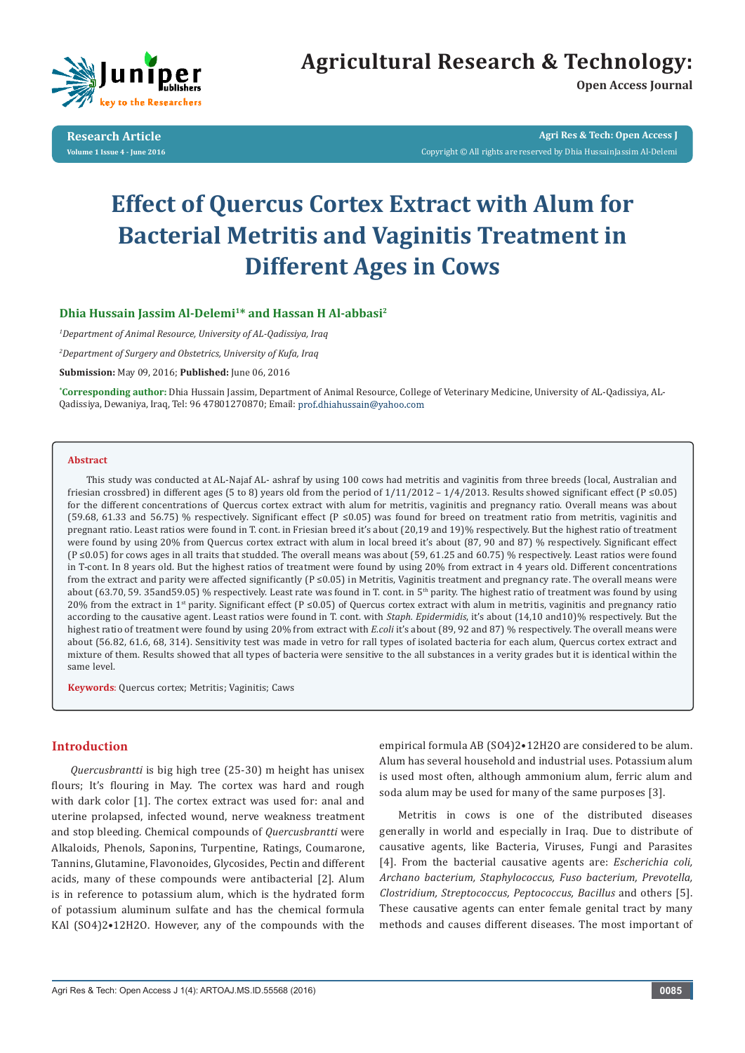

# **Agricultural Research & Technology:**

**Open Access Journal**

**Research Article Volume 1 Issue 4 - June 2016**

**Agri Res & Tech: Open Access J** Copyright © All rights are reserved by Dhia HussainJassim Al-Delemi

# **Effect of Quercus Cortex Extract with Alum for Bacterial Metritis and Vaginitis Treatment in Different Ages in Cows**

# **Dhia Hussain Jassim Al-Delemi1\* and Hassan H Al-abbasi2**

*1 Department of Animal Resource, University of AL-Qadissiya, Iraq*

*2 Department of Surgery and Obstetrics, University of Kufa, Iraq*

**Submission:** May 09, 2016; **Published:** June 06, 2016

**\* Corresponding author:** Dhia Hussain Jassim, Department of Animal Resource, College of Veterinary Medicine, University of AL-Qadissiya, AL-Qadissiya, Dewaniya, Iraq, Tel: 96 47801270870; Email: prof.dhiahussain@yahoo.com

#### **Abstract**

This study was conducted at AL-Najaf AL- ashraf by using 100 cows had metritis and vaginitis from three breeds (local, Australian and friesian crossbred) in different ages (5 to 8) years old from the period of  $1/11/2012 - 1/4/2013$ . Results showed significant effect (P ≤0.05) for the different concentrations of Quercus cortex extract with alum for metritis, vaginitis and pregnancy ratio. Overall means was about (59.68, 61.33 and 56.75) % respectively. Significant effect (P ≤0.05) was found for breed on treatment ratio from metritis, vaginitis and pregnant ratio. Least ratios were found in T. cont. in Friesian breed it's about (20,19 and 19)% respectively. But the highest ratio of treatment were found by using 20% from Quercus cortex extract with alum in local breed it's about (87, 90 and 87) % respectively. Significant effect (P ≤0.05) for cows ages in all traits that studded. The overall means was about (59, 61.25 and 60.75) % respectively. Least ratios were found in T-cont. In 8 years old. But the highest ratios of treatment were found by using 20% from extract in 4 years old. Different concentrations from the extract and parity were affected significantly (P ≤0.05) in Metritis, Vaginitis treatment and pregnancy rate. The overall means were about (63.70, 59. 35and59.05) % respectively. Least rate was found in T. cont. in 5<sup>th</sup> parity. The highest ratio of treatment was found by using 20% from the extract in 1<sup>st</sup> parity. Significant effect (P ≤0.05) of Quercus cortex extract with alum in metritis, vaginitis and pregnancy ratio according to the causative agent. Least ratios were found in T. cont. with *Staph. Epidermidis*, it's about (14,10 and10)% respectively. But the highest ratio of treatment were found by using 20% from extract with *E.coli* it's about (89, 92 and 87) % respectively. The overall means were about (56.82, 61.6, 68, 314). Sensitivity test was made in vetro for rall types of isolated bacteria for each alum, Quercus cortex extract and mixture of them. Results showed that all types of bacteria were sensitive to the all substances in a verity grades but it is identical within the same level.

**Keywords**: Quercus cortex; Metritis; Vaginitis; Caws

# **Introduction**

*Quercusbrantti* is big high tree (25-30) m height has unisex flours; It's flouring in May. The cortex was hard and rough with dark color [1]. The cortex extract was used for: anal and uterine prolapsed, infected wound, nerve weakness treatment and stop bleeding. Chemical compounds of *Quercusbrantti* were Alkaloids, Phenols, Saponins, Turpentine, Ratings, Coumarone, Tannins, Glutamine, Flavonoides, Glycosides, Pectin and different acids, many of these compounds were antibacterial [2]. Alum is in reference to potassium alum, which is the hydrated form of potassium aluminum sulfate and has the chemical formula KAl (SO4)2•12H2O. However, any of the compounds with the

empirical formula AB (SO4)2•12H2O are considered to be alum. Alum has several household and industrial uses. Potassium alum is used most often, although ammonium alum, ferric alum and soda alum may be used for many of the same purposes [3].

Metritis in cows is one of the distributed diseases generally in world and especially in Iraq. Due to distribute of causative agents, like Bacteria, Viruses, Fungi and Parasites [4]. From the bacterial causative agents are: *Escherichia coli, Archano bacterium, Staphylococcus, Fuso bacterium, Prevotella, Clostridium, Streptococcus, Peptococcus, Bacillus* and others [5]. These causative agents can enter female genital tract by many methods and causes different diseases. The most important of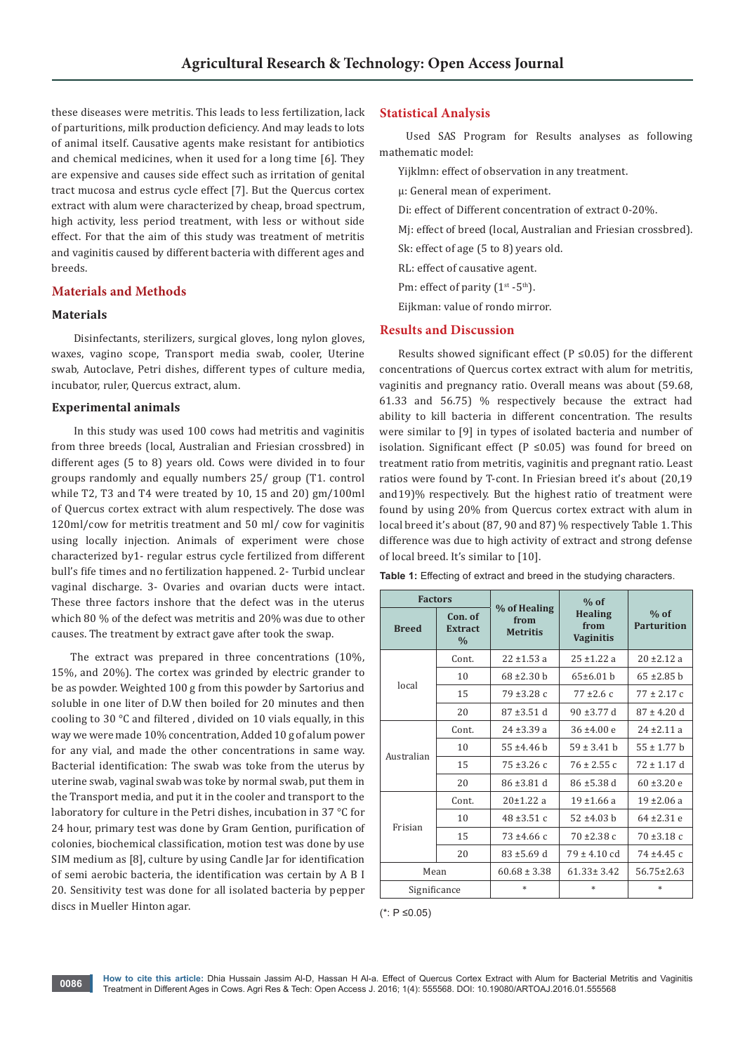these diseases were metritis. This leads to less fertilization, lack of parturitions, milk production deficiency. And may leads to lots of animal itself. Causative agents make resistant for antibiotics and chemical medicines, when it used for a long time [6]. They are expensive and causes side effect such as irritation of genital tract mucosa and estrus cycle effect [7]. But the Quercus cortex extract with alum were characterized by cheap, broad spectrum, high activity, less period treatment, with less or without side effect. For that the aim of this study was treatment of metritis and vaginitis caused by different bacteria with different ages and breeds.

# **Materials and Methods**

#### **Materials**

 Disinfectants, sterilizers, surgical gloves, long nylon gloves, waxes, vagino scope, Transport media swab, cooler, Uterine swab, Autoclave, Petri dishes, different types of culture media, incubator, ruler, Quercus extract, alum.

### **Experimental animals**

 In this study was used 100 cows had metritis and vaginitis from three breeds (local, Australian and Friesian crossbred) in different ages (5 to 8) years old. Cows were divided in to four groups randomly and equally numbers 25/ group (T1. control while T2, T3 and T4 were treated by 10, 15 and 20) gm/100ml of Quercus cortex extract with alum respectively. The dose was 120ml/cow for metritis treatment and 50 ml/ cow for vaginitis using locally injection. Animals of experiment were chose characterized by1- regular estrus cycle fertilized from different bull's fife times and no fertilization happened. 2- Turbid unclear vaginal discharge. 3- Ovaries and ovarian ducts were intact. These three factors inshore that the defect was in the uterus which 80 % of the defect was metritis and 20% was due to other causes. The treatment by extract gave after took the swap.

The extract was prepared in three concentrations (10%, 15%, and 20%). The cortex was grinded by electric grander to be as powder. Weighted 100 g from this powder by Sartorius and soluble in one liter of D.W then boiled for 20 minutes and then cooling to 30 °C and filtered , divided on 10 vials equally, in this way we were made 10% concentration, Added 10 g of alum power for any vial, and made the other concentrations in same way. Bacterial identification: The swab was toke from the uterus by uterine swab, vaginal swab was toke by normal swab, put them in the Transport media, and put it in the cooler and transport to the laboratory for culture in the Petri dishes, incubation in 37 °C for 24 hour, primary test was done by Gram Gention, purification of colonies, biochemical classification, motion test was done by use SIM medium as [8], culture by using Candle Jar for identification of semi aerobic bacteria, the identification was certain by A B I 20. Sensitivity test was done for all isolated bacteria by pepper discs in Mueller Hinton agar.

## **Statistical Analysis**

 Used SAS Program for Results analyses as following mathematic model:

Yijklmn: effect of observation in any treatment.

µ: General mean of experiment.

Di: effect of Different concentration of extract 0-20%.

Mj: effect of breed (local, Australian and Friesian crossbred).

Sk: effect of age (5 to 8) years old.

RL: effect of causative agent.

Pm: effect of parity  $(1^{st} - 5^{th})$ .

Eijkman: value of rondo mirror.

#### **Results and Discussion**

Results showed significant effect ( $P \le 0.05$ ) for the different concentrations of Quercus cortex extract with alum for metritis, vaginitis and pregnancy ratio. Overall means was about (59.68, 61.33 and 56.75) % respectively because the extract had ability to kill bacteria in different concentration. The results were similar to [9] in types of isolated bacteria and number of isolation. Significant effect ( $P \le 0.05$ ) was found for breed on treatment ratio from metritis, vaginitis and pregnant ratio. Least ratios were found by T-cont. In Friesian breed it's about (20,19 and19)% respectively. But the highest ratio of treatment were found by using 20% from Quercus cortex extract with alum in local breed it's about (87, 90 and 87) % respectively Table 1. This difference was due to high activity of extract and strong defense of local breed. It's similar to [10].

| Table 1: Effecting of extract and breed in the studying characters. |  |
|---------------------------------------------------------------------|--|
|---------------------------------------------------------------------|--|

| <b>Factors</b> |                                            |                                         | $%$ of                                     |                              |
|----------------|--------------------------------------------|-----------------------------------------|--------------------------------------------|------------------------------|
| <b>Breed</b>   | Con. of<br><b>Extract</b><br>$\frac{0}{0}$ | % of Healing<br>from<br><b>Metritis</b> | <b>Healing</b><br>from<br><b>Vaginitis</b> | $%$ of<br><b>Parturition</b> |
| local          | Cont.                                      | $22 \pm 1.53$ a                         | $25 + 1.22a$                               | $20 \pm 2.12$ a              |
|                | 10                                         | $68 \pm 2.30$ h                         | 65±6.01 h                                  | $65 \pm 2.85$ h              |
|                | 15                                         | $79 + 3.28c$                            | $77 + 2.6c$                                | $77 \pm 2.17$ c              |
|                | 20                                         | $87 \pm 3.51$ d                         | $90 \pm 3.77$ d                            | $87 \pm 4.20$ d              |
| Australian     | Cont.                                      | $24 \pm 3.39$ a                         | $36 \pm 4.00 e$                            | $24 \pm 2.11$ a              |
|                | 10                                         | $55 + 4.46$ h                           | $59 \pm 3.41$ h                            | $55 \pm 1.77$ b              |
|                | 15                                         | $75 + 3.26c$                            | $76 \pm 2.55$ c                            | $72 \pm 1.17$ d              |
|                | 20                                         | $86 \pm 3.81$ d                         | $86 \pm 5.38$ d                            | $60 \pm 3.20 e$              |
| Frisian        | Cont.                                      | 20±1.22a                                | $19 + 1.66$ a                              | $19 \pm 2.06 a$              |
|                | 10                                         | $48 \pm 3.51$ c                         | $52 \pm 4.03$ h                            | $64 \pm 2.31$ e              |
|                | 15                                         | $73 + 4.66c$                            | $70 + 2.38$ c                              | $70 \pm 3.18$ c              |
|                | 20                                         | $83 \pm 5.69$ d                         | $79 \pm 4.10$ cd                           | $74 + 4.45c$                 |
| Mean           |                                            | $60.68 \pm 3.38$                        | $61.33 \pm 3.42$                           | $56.75 \pm 2.63$             |
| Significance   |                                            | $\ast$                                  | ×.                                         | ×.                           |

<sup>(\*:</sup> P ≤0.05)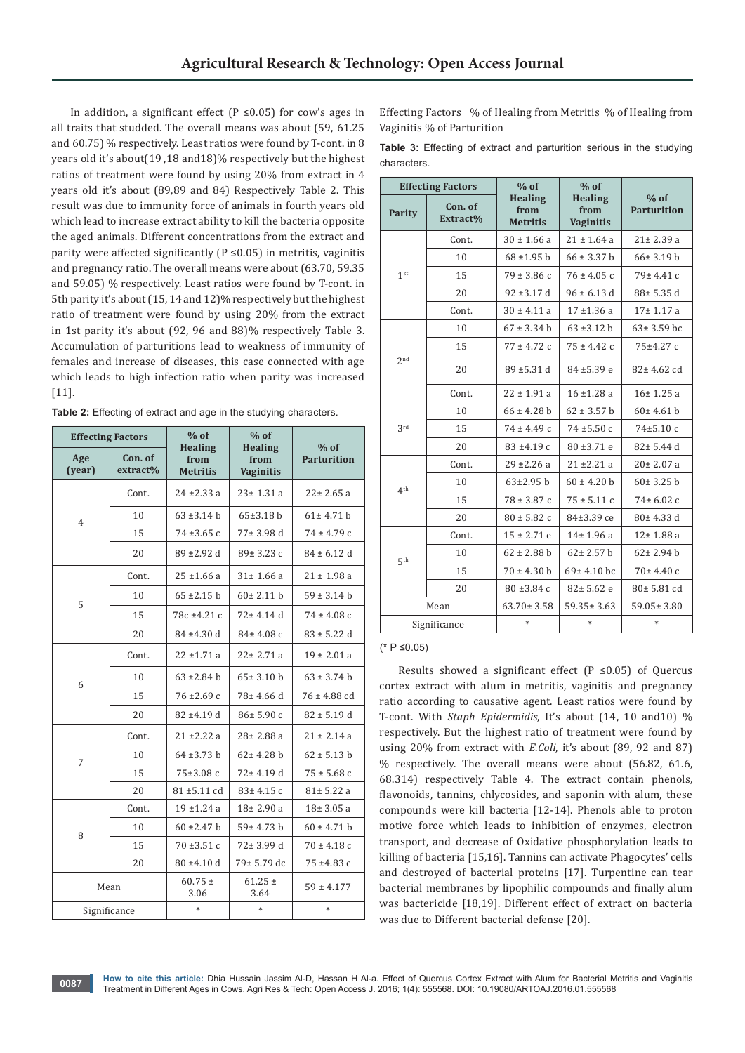In addition, a significant effect ( $P \le 0.05$ ) for cow's ages in all traits that studded. The overall means was about (59, 61.25 and 60.75) % respectively. Least ratios were found by T-cont. in 8 years old it's about(19 ,18 and18)% respectively but the highest ratios of treatment were found by using 20% from extract in 4 years old it's about (89,89 and 84) Respectively Table 2. This result was due to immunity force of animals in fourth years old which lead to increase extract ability to kill the bacteria opposite the aged animals. Different concentrations from the extract and parity were affected significantly ( $P \le 0.05$ ) in metritis, vaginitis and pregnancy ratio. The overall means were about (63.70, 59.35 and 59.05) % respectively. Least ratios were found by T-cont. in 5th parity it's about (15, 14 and 12)% respectively but the highest ratio of treatment were found by using 20% from the extract in 1st parity it's about (92, 96 and 88)% respectively Table 3. Accumulation of parturitions lead to weakness of immunity of females and increase of diseases, this case connected with age which leads to high infection ratio when parity was increased [11].

| Table 2: Effecting of extract and age in the studying characters. |  |
|-------------------------------------------------------------------|--|
|-------------------------------------------------------------------|--|

| <b>Effecting Factors</b> |                     | $%$ of                                    | $%$ of                                     |                              |
|--------------------------|---------------------|-------------------------------------------|--------------------------------------------|------------------------------|
| Age<br>(year)            | Con. of<br>extract% | <b>Healing</b><br>from<br><b>Metritis</b> | <b>Healing</b><br>from<br><b>Vaginitis</b> | $%$ of<br><b>Parturition</b> |
|                          | Cont.               | $24 + 2.33$ a                             | $23 \pm 1.31$ a                            | $22 \pm 2.65$ a              |
| 4                        | 10                  | $63 \pm 3.14$ h                           | 65±3.18 h                                  | $61 \pm 4.71 h$              |
|                          | 15                  | $74 + 3.65c$                              | $77 \pm 3.98$ d                            | $74 \pm 4.79$ c              |
|                          | 20                  | 89 ±2.92 d                                | $89 \pm 3.23$ c                            | $84 \pm 6.12$ d              |
|                          | Cont.               | $25 + 1.66$ a                             | $31 \pm 1.66$ a                            | $21 \pm 1.98$ a              |
| 5                        | 10                  | $65 \pm 2.15$ b                           | $60 \pm 2.11$ b                            | $59 \pm 3.14$ b              |
|                          | 15                  | 78c ±4.21 c                               | $72 \pm 4.14$ d                            | $74 \pm 4.08$ c              |
|                          | 20                  | $84 \pm 4.30$ d                           | $84 \pm 4.08$ c                            | $83 \pm 5.22$ d              |
|                          | Cont.               | $22 \pm 1.71$ a                           | $22 \pm 2.71$ a                            | $19 \pm 2.01$ a              |
| 6                        | 10                  | $63 \pm 2.84$ h                           | $65 \pm 3.10$ b                            | $63 \pm 3.74$ b              |
|                          | 15                  | $76 \pm 2.69$ c                           | $78 \pm 4.66$ d                            | $76 \pm 4.88$ cd             |
|                          | 20                  | $82 + 4.19$ d                             | $86 \pm 5.90 c$                            | $82 \pm 5.19$ d              |
|                          | Cont.               | $21 \pm 2.22$ a                           | $28 \pm 2.88$ a                            | $21 \pm 2.14$ a              |
| 7                        | 10                  | $64 + 3.73$ b                             | $62 \pm 4.28$ b                            | $62 \pm 5.13$ b              |
|                          | 15                  | 75±3.08 c                                 | $72 \pm 4.19$ d                            | $75 \pm 5.68$ c              |
|                          | 20                  | $81 \pm 5.11$ cd                          | $83 \pm 4.15$ c                            | $81 \pm 5.22$ a              |
| 8                        | Cont.               | $19 + 1.24a$                              | $18\pm 2.90$ a                             | $18 \pm 3.05$ a              |
|                          | 10                  | $60 \pm 2.47$ h                           | $59 \pm 4.73$ b                            | $60 \pm 4.71$ b              |
|                          | 15                  | $70 \pm 3.51 c$                           | 72± 3.99 d                                 | $70 \pm 4.18$ c              |
|                          | 20                  | 80 ±4.10 d                                | 79± 5.79 dc                                | 75 ±4.83 c                   |
| Mean                     |                     | $60.75 \pm$<br>3.06                       | $61.25 \pm$<br>3.64                        | $59 \pm 4.177$               |
| Significance             |                     | *                                         | $\ast$                                     | $*$                          |

Effecting Factors % of Healing from Metritis % of Healing from Vaginitis % of Parturition

**Table 3:** Effecting of extract and parturition serious in the studying characters.

| <b>Effecting Factors</b> |                     | $%$ of                                    | $%$ of                                     |                              |
|--------------------------|---------------------|-------------------------------------------|--------------------------------------------|------------------------------|
| Parity                   | Con. of<br>Extract% | <b>Healing</b><br>from<br><b>Metritis</b> | <b>Healing</b><br>from<br><b>Vaginitis</b> | $%$ of<br><b>Parturition</b> |
|                          | Cont.               | $30 \pm 1.66$ a                           | $21 \pm 1.64$ a                            | $21 \pm 2.39$ a              |
|                          | 10                  | $68 + 1.95$ b                             | $66 \pm 3.37$ b                            | $66 \pm 3.19$ h              |
| 1 <sup>st</sup>          | 15                  | $79 \pm 3.86$ c                           | $76 \pm 4.05$ c                            | 79± 4.41 c                   |
|                          | 20                  | $92 \pm 3.17$ d                           | $96 \pm 6.13$ d                            | 88± 5.35 d                   |
|                          | Cont.               | $30 \pm 4.11$ a                           | $17 + 1.36$ a                              | $17 \pm 1.17$ a              |
|                          | 10                  | $67 \pm 3.34$ b                           | $63 \pm 3.12$ b                            | $63 \pm 3.59$ bc             |
|                          | 15                  | $77 \pm 4.72$ c                           | $75 \pm 4.42$ c                            | 75±4.27 c                    |
| 2 <sub>nd</sub>          | 20                  | 89 ±5.31 d                                | 84 ±5.39 e                                 | $82 \pm 4.62$ cd             |
|                          | Cont.               | $22 \pm 1.91$ a                           | $16 \pm 1.28$ a                            | 16±1.25a                     |
| 3rd                      | 10                  | $66 \pm 4.28$ h                           | $62 \pm 3.57$ h                            | 60±4.61 h                    |
|                          | 15                  | $74 \pm 4.49$ c                           | $74 + 5.50c$                               | $74 \pm 5.10$ c              |
|                          | 20                  | $83 + 4.19c$                              | 80 ±3.71 e                                 | $82 \pm 5.44$ d              |
| 4 <sup>th</sup>          | Cont.               | $29 + 2.26a$                              | $21 \pm 2.21$ a                            | $20 \pm 2.07$ a              |
|                          | 10                  | $63 \pm 2.95$ h                           | $60 \pm 4.20$ h                            | $60 \pm 3.25$ h              |
|                          | 15                  | $78 \pm 3.87$ c                           | $75 \pm 5.11$ c                            | $74 \pm 6.02$ c              |
|                          | 20                  | $80 \pm 5.82$ c                           | 84±3.39 ce                                 | $80 \pm 4.33$ d              |
| 5 <sup>th</sup>          | Cont.               | $15 \pm 2.71$ e                           | $14 \pm 1.96$ a                            | $12 \pm 1.88$ a              |
|                          | 10                  | $62 \pm 2.88$ b                           | $62 \pm 2.57$ b                            | $62 \pm 2.94$ b              |
|                          | 15                  | $70 \pm 4.30$ b                           | $69 \pm 4.10$ bc                           | $70 \pm 4.40$ c              |
|                          | 20                  | $80 \pm 3.84$ c                           | $82 \pm 5.62$ e                            | $80 \pm 5.81$ cd             |
| Mean                     |                     | $63.70 \pm 3.58$                          | $59.35 \pm 3.63$                           | $59.05 \pm 3.80$             |
|                          | Significance        | $*$                                       | $\ast$                                     | $*$                          |

#### $(* P ≤ 0.05)$

Results showed a significant effect (P  $\leq$ 0.05) of Quercus cortex extract with alum in metritis, vaginitis and pregnancy ratio according to causative agent. Least ratios were found by T-cont. With *Staph Epidermidis*, It's about (14, 10 and10) % respectively. But the highest ratio of treatment were found by using 20% from extract with *E.Coli*, it's about (89, 92 and 87) % respectively. The overall means were about (56.82, 61.6, 68.314) respectively Table 4. The extract contain phenols, flavonoids, tannins, chlycosides, and saponin with alum, these compounds were kill bacteria [12-14]. Phenols able to proton motive force which leads to inhibition of enzymes, electron transport, and decrease of Oxidative phosphorylation leads to killing of bacteria [15,16]. Tannins can activate Phagocytes' cells and destroyed of bacterial proteins [17]. Turpentine can tear bacterial membranes by lipophilic compounds and finally alum was bactericide [18,19]. Different effect of extract on bacteria was due to Different bacterial defense [20].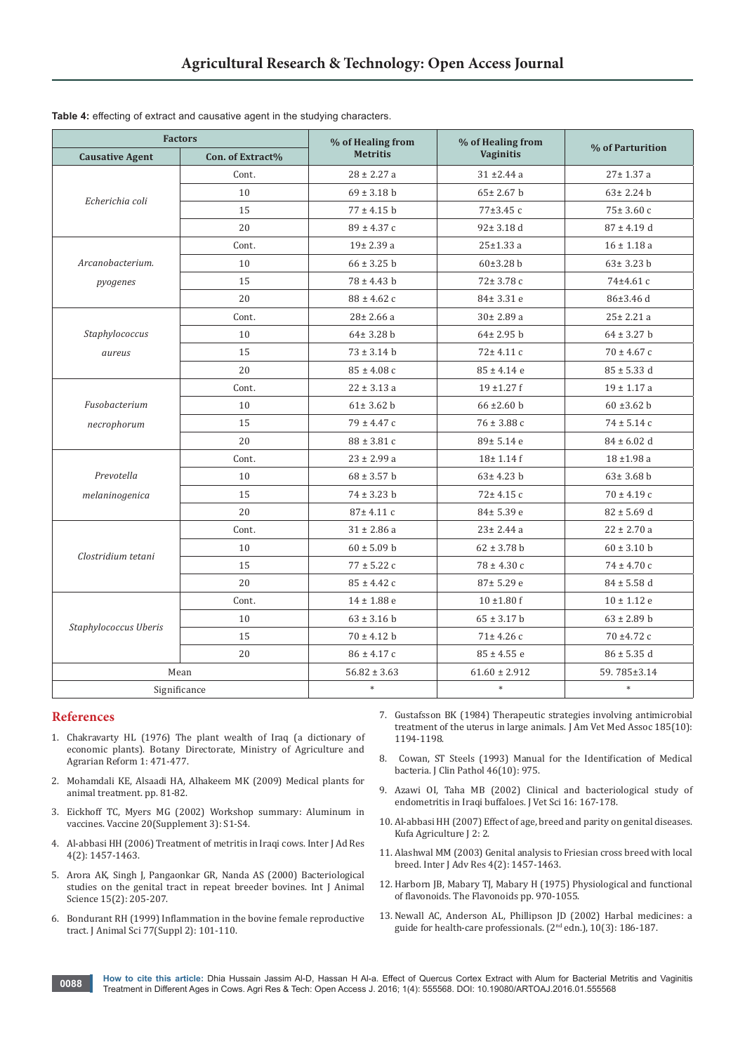| <b>Factors</b>         |                  | % of Healing from | % of Healing from | % of Parturition |
|------------------------|------------------|-------------------|-------------------|------------------|
| <b>Causative Agent</b> | Con. of Extract% | <b>Metritis</b>   | <b>Vaginitis</b>  |                  |
|                        | Cont.            | $28 \pm 2.27$ a   | $31 \pm 2.44$ a   | $27 \pm 1.37$ a  |
|                        | 10               | $69 \pm 3.18$ b   | $65 \pm 2.67$ b   | $63 \pm 2.24$ b  |
| Echerichia coli        | 15               | $77 \pm 4.15$ b   | 77±3.45 c         | $75 \pm 3.60$ c  |
|                        | 20               | $89 \pm 4.37$ c   | $92 \pm 3.18$ d   | $87 \pm 4.19$ d  |
|                        | Cont.            | $19\pm 2.39$ a    | $25 \pm 1.33$ a   | $16 \pm 1.18$ a  |
| Arcanobacterium.       | 10               | $66 \pm 3.25$ b   | 60±3.28 b         | $63 \pm 3.23$ b  |
| pyogenes               | 15               | $78 \pm 4.43$ b   | 72± 3.78 c        | 74±4.61 c        |
|                        | 20               | $88 \pm 4.62$ c   | 84± 3.31 e        | $86 \pm 3.46$ d  |
|                        | Cont.            | $28 \pm 2.66$ a   | $30 \pm 2.89$ a   | $25 \pm 2.21$ a  |
| Staphylococcus         | 10               | $64 \pm 3.28$ b   | $64 \pm 2.95$ b   | $64 \pm 3.27$ b  |
| aureus                 | 15               | $73 \pm 3.14$ b   | $72 \pm 4.11$ c   | $70 \pm 4.67$ c  |
|                        | 20               | $85 \pm 4.08$ c   | $85 \pm 4.14$ e   | $85 \pm 5.33$ d  |
|                        | Cont.            | $22 \pm 3.13$ a   | $19 + 1.27f$      | $19 \pm 1.17$ a  |
| Fusobacterium          | 10               | $61 \pm 3.62$ b   | $66 \pm 2.60$ b   | $60 \pm 3.62$ b  |
| necrophorum            | 15               | $79 \pm 4.47$ c   | $76 \pm 3.88$ c   | $74 \pm 5.14$ c  |
|                        | 20               | $88 \pm 3.81$ c   | 89± 5.14 e        | $84 \pm 6.02$ d  |
|                        | Cont.            | $23 \pm 2.99$ a   | $18 \pm 1.14$ f   | $18 + 1.98$ a    |
| Prevotella             | 10               | $68 \pm 3.57$ b   | $63 \pm 4.23$ b   | $63 \pm 3.68$ b  |
| melaninogenica         | 15               | $74 \pm 3.23$ b   | 72± 4.15 c        | $70 \pm 4.19$ c  |
|                        | 20               | 87± 4.11 c        | 84± 5.39 e        | $82 \pm 5.69$ d  |
|                        | Cont.            | $31 \pm 2.86$ a   | $23 \pm 2.44$ a   | $22 \pm 2.70$ a  |
|                        | 10               | $60 \pm 5.09$ b   | $62 \pm 3.78$ b   | $60 \pm 3.10$ b  |
| Clostridium tetani     | 15               | $77 \pm 5.22$ c   | $78 \pm 4.30$ c   | $74 \pm 4.70$ c  |
|                        | 20               | $85 \pm 4.42$ c   | $87 \pm 5.29$ e   | $84 \pm 5.58$ d  |
|                        | Cont.            | $14 \pm 1.88$ e   | $10 \pm 1.80$ f   | $10 \pm 1.12$ e  |
| Staphylococcus Uberis  | 10               | $63 \pm 3.16$ b   | $65 \pm 3.17$ b   | $63 \pm 2.89$ b  |
|                        | 15               | $70 \pm 4.12$ b   | $71 \pm 4.26$ c   | 70 ±4.72 c       |
|                        | 20               | $86 \pm 4.17$ c   | $85 \pm 4.55$ e   | $86 \pm 5.35$ d  |
| Mean                   |                  | $56.82 \pm 3.63$  | $61.60 \pm 2.912$ | 59.785±3.14      |
| Significance           |                  | $\ast$            | $\ast$            | $\ast$           |

**Table 4:** effecting of extract and causative agent in the studying characters.

#### **References**

- 1. [Chakravarty HL \(1976\) The plant wealth of Iraq \(a dictionary of](http://trove.nla.gov.au/work/10270629?selectedversion=NBD1901579)  [economic plants\). Botany Directorate, Ministry of Agriculture and](http://trove.nla.gov.au/work/10270629?selectedversion=NBD1901579)  [Agrarian Reform 1: 471-477.](http://trove.nla.gov.au/work/10270629?selectedversion=NBD1901579)
- 2. Mohamdali KE, Alsaadi HA, Alhakeem MK (2009) Medical plants for animal treatment. pp. 81-82.
- 3. [Eickhoff TC, Myers MG \(2002\) Workshop summary: Aluminum in](http://www.ncbi.nlm.nih.gov/pubmed/12184358)  [vaccines. Vaccine 20\(Supplement](http://www.ncbi.nlm.nih.gov/pubmed/12184358) 3): S1-S4.
- 4. Al-abbasi HH (2006) Treatment of metritis in Iraqi cows. Inter J Ad Res 4(2): 1457-1463.
- 5. [Arora AK, Singh J, Pangaonkar GR, Nanda AS \(2000\) Bacteriological](http://www.cabdirect.org/abstracts/20013036429.html;jsessionid=1FFD41EDB713F5DBB2FE970491E473F8)  [studies on the genital tract in repeat breeder bovines. Int J Animal](http://www.cabdirect.org/abstracts/20013036429.html;jsessionid=1FFD41EDB713F5DBB2FE970491E473F8)  [Science 15\(2\): 205-207.](http://www.cabdirect.org/abstracts/20013036429.html;jsessionid=1FFD41EDB713F5DBB2FE970491E473F8)
- 6. [Bondurant RH \(1999\) Inflammation in the bovine female reproductive](http://www.ncbi.nlm.nih.gov/pubmed/15526785)  [tract. J Animal Sci 77\(Suppl 2\): 101-110.](http://www.ncbi.nlm.nih.gov/pubmed/15526785)
- 7. [Gustafsson BK \(1984\) Therapeutic strategies involving antimicrobial](http://www.ncbi.nlm.nih.gov/pubmed/6392255)  [treatment of the uterus in large animals. J Am Vet Med Assoc 185\(10\):](http://www.ncbi.nlm.nih.gov/pubmed/6392255)  [1194-1198.](http://www.ncbi.nlm.nih.gov/pubmed/6392255)
- 8. [Cowan, ST Steels \(1993\) Manual for the Identification of Medical](http://www.ncbi.nlm.nih.gov/pmc/articles/PMC501641/)  [bacteria. J Clin Pathol 46\(10\): 975.](http://www.ncbi.nlm.nih.gov/pmc/articles/PMC501641/)
- 9. Azawi OI, Taha MB (2002) Clinical and bacteriological study of endometritis in Iraqi buffaloes. J Vet Sci 16: 167-178.
- 10. Al-abbasi HH (2007) Effect of age, breed and parity on genital diseases. Kufa Agriculture J 2: 2.
- 11. Alashwal MM (2003) Genital analysis to Friesian cross breed with local breed. Inter J Adv Res 4(2): 1457-1463.
- 12. [Harborn JB, Mabary TJ, Mabary H \(1975\) Physiological and functional](http://link.springer.com/chapter/10.1007%2F978-1-4899-2909-9_18)  [of flavonoids. The Flavonoids pp. 970-1055.](http://link.springer.com/chapter/10.1007%2F978-1-4899-2909-9_18)
- 13. Newall AC, Anderson AL, Phillipson JD (2002) Harbal medicines: a guide for health-care professionals. (2nd edn.), 10(3): 186-187.